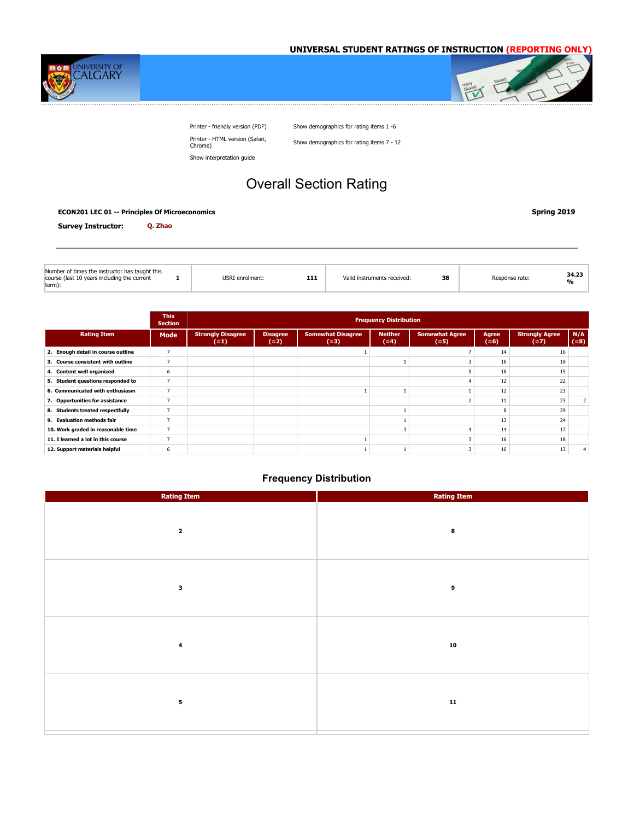



Printer - friendly version (PDF) Show demographics for rating items 1 -6 Printer - HTML version (Safari,

Show demographics for rating items 7 - 12

Show interpretation guide

# Overall Section Rating

#### **ECON201 LEC 01 -- Principles Of Microeconomics Spring 2019**

| Q. Zhao<br><b>Survey Instructor:</b> |  |
|--------------------------------------|--|
|--------------------------------------|--|

| Number of times the instructor has taught this<br>course (last 10 years including the current | USRI enrolment: | 111 | Valid instruments received: | 38 | Response rate: | 34.23<br>% |
|-----------------------------------------------------------------------------------------------|-----------------|-----|-----------------------------|----|----------------|------------|
| term):                                                                                        |                 |     |                             |    |                |            |

|                                    | <b>This</b><br><b>Section</b> |                                    |                           |                                    |                          |                                 |                 |                                 |               |
|------------------------------------|-------------------------------|------------------------------------|---------------------------|------------------------------------|--------------------------|---------------------------------|-----------------|---------------------------------|---------------|
| <b>Rating Item</b>                 | Mode                          | <b>Strongly Disagree</b><br>$(=1)$ | <b>Disagree</b><br>$(=2)$ | <b>Somewhat Disagree</b><br>$(=3)$ | <b>Neither</b><br>$(=4)$ | <b>Somewhat Agree</b><br>$(=5)$ | Agree<br>$(=6)$ | <b>Strongly Agree</b><br>$(=7)$ | N/A<br>$(=8)$ |
| 2. Enough detail in course outline |                               |                                    |                           |                                    |                          |                                 | 14              | 16                              |               |
| 3. Course consistent with outline  |                               |                                    |                           |                                    |                          |                                 | 16              | 18                              |               |
| 4. Content well organized          | 6                             |                                    |                           |                                    |                          |                                 | 18              | 15                              |               |
| 5. Student questions responded to  | 7                             |                                    |                           |                                    |                          |                                 | 12              | 22                              |               |
| 6. Communicated with enthusiasm    |                               |                                    |                           |                                    |                          |                                 | 12              | 23                              |               |
| 7. Opportunities for assistance    |                               |                                    |                           |                                    |                          |                                 |                 | 23                              |               |
| 8. Students treated respectfully   |                               |                                    |                           |                                    |                          |                                 |                 | 29                              |               |
| 9. Evaluation methods fair         |                               |                                    |                           |                                    |                          |                                 | 13              | 24                              |               |
| 10. Work graded in reasonable time |                               |                                    |                           |                                    |                          |                                 | 14              | 17                              |               |
| 11. I learned a lot in this course |                               |                                    |                           |                                    |                          |                                 | 16              | 18                              |               |
| 12. Support materials helpful      | 6                             |                                    |                           |                                    |                          |                                 | 16              | 13                              |               |

| <b>Rating Item</b>      | <b>Rating Item</b> |
|-------------------------|--------------------|
| $\overline{\mathbf{2}}$ | 8                  |
| 3                       | 9                  |
| $\bf{4}$                | ${\bf 10}$         |
| 5                       | ${\bf 11}$         |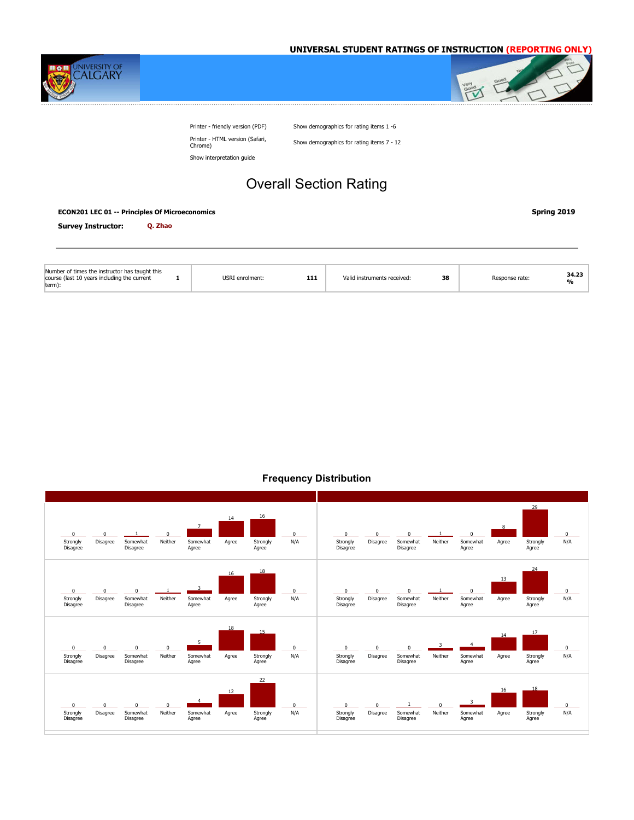



Printer - friendly version (PDF) Show demographics for rating items 1 -6 Printer - HTML version (Safari,

Show demographics for rating items 7 - 12

Show interpretation guide

# Overall Section Rating

#### **ECON201 LEC 01 -- Principles Of Microeconomics Spring 2019**

**Survey Instructor: Q. Zhao**

| Number of times the instructor has taught this<br>course (last 10 years including the current<br>term): | USRI enrolment: | 111 | Valid instruments received: | 38 | Response rate: | 34.23<br>$\mathbf{O}/\mathbf{O}$ |
|---------------------------------------------------------------------------------------------------------|-----------------|-----|-----------------------------|----|----------------|----------------------------------|

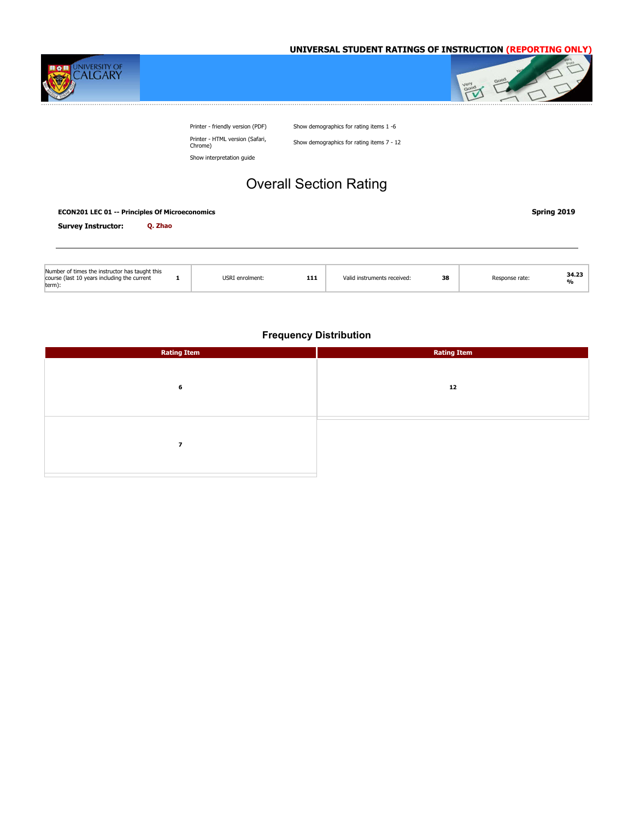



Printer - friendly version (PDF) Show demographics for rating items 1 -6 Printer - HTML version (Safari,

Show demographics for rating items 7 - 12

Show interpretation guide

# Overall Section Rating

| <b>ECON201 LEC 01 -- Principles Of Microeconomics</b> | Spring 2019 |
|-------------------------------------------------------|-------------|
|                                                       |             |

**Survey Instructor: Q. Zhao**

| Number of times the instructor has taught this<br>course (last 10 years including the current<br>term): | USRI enrolment: | 111 | Valid instruments received: | 38 | lesponse rate: | 34.23<br>0/ |
|---------------------------------------------------------------------------------------------------------|-----------------|-----|-----------------------------|----|----------------|-------------|
|---------------------------------------------------------------------------------------------------------|-----------------|-----|-----------------------------|----|----------------|-------------|

| <b>Rating Item</b>       | <b>Rating Item</b> |
|--------------------------|--------------------|
|                          |                    |
|                          |                    |
| 6                        | 12                 |
|                          |                    |
|                          |                    |
|                          |                    |
| $\overline{\phantom{a}}$ |                    |
|                          |                    |
|                          |                    |